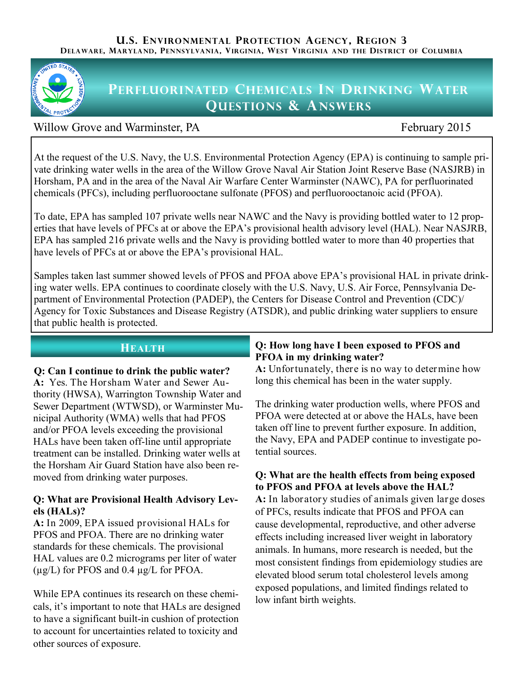

# **PERFLUORINATED CHEMICALS IN DRINKING WATER QUESTIONS & ANSWERS**

# Willow Grove and Warminster, PA February 2015

At the request of the U.S. Navy, the U.S. Environmental Protection Agency (EPA) is continuing to sample private drinking water wells in the area of the Willow Grove Naval Air Station Joint Reserve Base (NASJRB) in Horsham, PA and in the area of the Naval Air Warfare Center Warminster (NAWC), PA for perfluorinated chemicals (PFCs), including perfluorooctane sulfonate (PFOS) and perfluorooctanoic acid (PFOA).

To date, EPA has sampled 107 private wells near NAWC and the Navy is providing bottled water to 12 properties that have levels of PFCs at or above the EPA's provisional health advisory level (HAL). Near NASJRB, EPA has sampled 216 private wells and the Navy is providing bottled water to more than 40 properties that have levels of PFCs at or above the EPA's provisional HAL.

Samples taken last summer showed levels of PFOS and PFOA above EPA's provisional HAL in private drinking water wells. EPA continues to coordinate closely with the U.S. Navy, U.S. Air Force, Pennsylvania Department of Environmental Protection (PADEP), the Centers for Disease Control and Prevention (CDC)/ Agency for Toxic Substances and Disease Registry (ATSDR), and public drinking water suppliers to ensure that public health is protected.

# **Q: Can I continue to drink the public water?**

**A:** Yes. The Horsham Water and Sewer Authority (HWSA), Warrington Township Water and Sewer Department (WTWSD), or Warminster Municipal Authority (WMA) wells that had PFOS and/or PFOA levels exceeding the provisional HALs have been taken off-line until appropriate treatment can be installed. Drinking water wells at the Horsham Air Guard Station have also been removed from drinking water purposes.

#### **Q: What are Provisional Health Advisory Levels (HALs)?**

**A:** In 2009, EPA issued provisional HALs for PFOS and PFOA. There are no drinking water standards for these chemicals. The provisional HAL values are 0.2 micrograms per liter of water (µg/L) for PFOS and 0.4 µg/L for PFOA.

While EPA continues its research on these chemicals, it's important to note that HALs are designed to have a significant built-in cushion of protection to account for uncertainties related to toxicity and other sources of exposure.

#### **HEALTH Q: How long have I been exposed to PFOS and PFOA in my drinking water?**

**A:** Unfortunately, there is no way to determine how long this chemical has been in the water supply.

The drinking water production wells, where PFOS and PFOA were detected at or above the HALs, have been taken off line to prevent further exposure. In addition, the Navy, EPA and PADEP continue to investigate potential sources.

### **Q: What are the health effects from being exposed to PFOS and PFOA at levels above the HAL?**

**A:** In laboratory studies of animals given large doses of PFCs, results indicate that PFOS and PFOA can cause developmental, reproductive, and other adverse effects including increased liver weight in laboratory animals. In humans, more research is needed, but the most consistent findings from epidemiology studies are elevated blood serum total cholesterol levels among exposed populations, and limited findings related to low infant birth weights.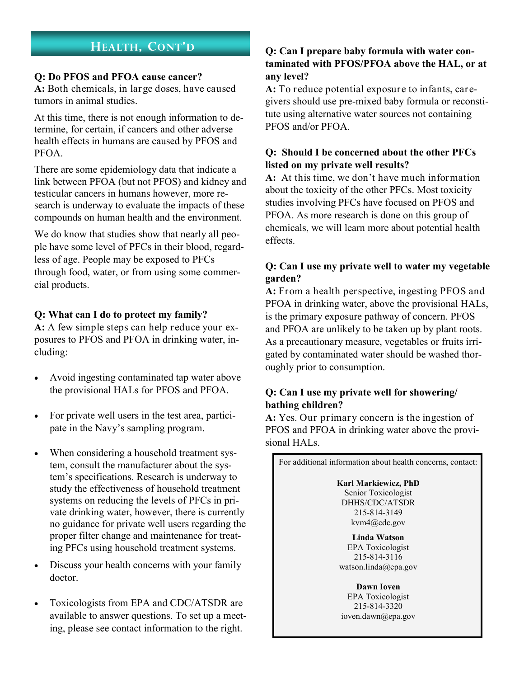#### **Q: Do PFOS and PFOA cause cancer?**

**A:** Both chemicals, in large doses, have caused tumors in animal studies.

At this time, there is not enough information to determine, for certain, if cancers and other adverse health effects in humans are caused by PFOS and PFOA.

There are some epidemiology data that indicate a link between PFOA (but not PFOS) and kidney and testicular cancers in humans however, more research is underway to evaluate the impacts of these compounds on human health and the environment.

We do know that studies show that nearly all people have some level of PFCs in their blood, regardless of age. People may be exposed to PFCs through food, water, or from using some commercial products.

### **Q: What can I do to protect my family?**

**A:** A few simple steps can help reduce your exposures to PFOS and PFOA in drinking water, including:

- Avoid ingesting contaminated tap water above the provisional HALs for PFOS and PFOA.
- For private well users in the test area, participate in the Navy's sampling program.
- When considering a household treatment system, consult the manufacturer about the system's specifications. Research is underway to study the effectiveness of household treatment systems on reducing the levels of PFCs in private drinking water, however, there is currently no guidance for private well users regarding the proper filter change and maintenance for treating PFCs using household treatment systems.
- Discuss your health concerns with your family doctor.
- Toxicologists from EPA and CDC/ATSDR are available to answer questions. To set up a meeting, please see contact information to the right.

# **HEALTH**, CONT'D **Q:** Can I prepare baby formula with water con**taminated with PFOS/PFOA above the HAL, or at any level?**

**A:** To reduce potential exposure to infants, caregivers should use pre-mixed baby formula or reconstitute using alternative water sources not containing PFOS and/or PFOA.

# **Q: Should I be concerned about the other PFCs listed on my private well results?**

**A:** At this time, we don't have much information about the toxicity of the other PFCs. Most toxicity studies involving PFCs have focused on PFOS and PFOA. As more research is done on this group of chemicals, we will learn more about potential health effects.

## **Q: Can I use my private well to water my vegetable garden?**

**A:** From a health perspective, ingesting PFOS and PFOA in drinking water, above the provisional HALs, is the primary exposure pathway of concern. PFOS and PFOA are unlikely to be taken up by plant roots. As a precautionary measure, vegetables or fruits irrigated by contaminated water should be washed thoroughly prior to consumption.

# **Q: Can I use my private well for showering/ bathing children?**

**A:** Yes. Our primary concern is the ingestion of PFOS and PFOA in drinking water above the provisional HALs.

For additional information about health concerns, contact: **Karl Markiewicz, PhD** Senior Toxicologist DHHS/CDC/ATSDR 215-814-3149 [kvm4@cdc.gov](mailto:kvm4@cdc.gov) **Linda Watson** EPA Toxicologist 215-814-3116 watson.linda@epa.gov **Dawn Ioven** EPA Toxicologist 215-814-3320 ioven.dawn@epa.gov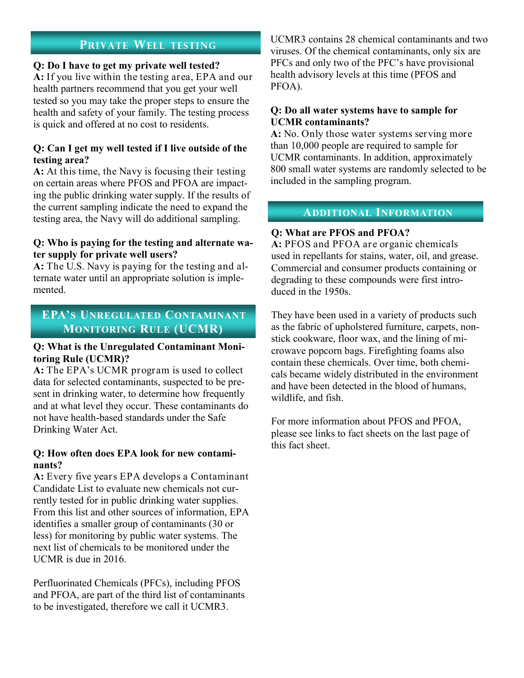# **PRIVATE WELL TESTING**

#### **Q: Do I have to get my private well tested?**

**A:** If you live within the testing area, EPA and our health partners recommend that you get your well tested so you may take the proper steps to ensure the health and safety of your family. The testing process is quick and offered at no cost to residents.

#### **Q: Can I get my well tested if I live outside of the testing area?**

**A:** At this time, the Navy is focusing their testing on certain areas where PFOS and PFOA are impacting the public drinking water supply. If the results of the current sampling indicate the need to expand the testing area, the Navy will do additional sampling.

#### **Q: Who is paying for the testing and alternate water supply for private well users?**

**A:** The U.S. Navy is paying for the testing and alternate water until an appropriate solution is implemented.

# **EPA'S UNREGULATED CONTAMINANT MONITORING RULE (UCMR)**

#### **Q: What is the Unregulated Contaminant Monitoring Rule (UCMR)?**

**A:** The EPA's UCMR program is used to collect data for selected contaminants, suspected to be present in drinking water, to determine how frequently and at what level they occur. These contaminants do not have health-based standards under the Safe Drinking Water Act.

#### **Q: How often does EPA look for new contaminants?**

**A:** Every five years EPA develops a Contaminant Candidate List to evaluate new chemicals not currently tested for in public drinking water supplies. From this list and other sources of information, EPA identifies a smaller group of contaminants (30 or less) for monitoring by public water systems. The next list of chemicals to be monitored under the UCMR is due in 2016.

Perfluorinated Chemicals (PFCs), including PFOS and PFOA, are part of the third list of contaminants to be investigated, therefore we call it UCMR3.

UCMR3 contains 28 chemical contaminants and two viruses. Of the chemical contaminants, only six are PFCs and only two of the PFC's have provisional health advisory levels at this time (PFOS and PFOA).

#### **Q: Do all water systems have to sample for UCMR contaminants?**

**A:** No. Only those water systems serving more than 10,000 people are required to sample for UCMR contaminants. In addition, approximately 800 small water systems are randomly selected to be included in the sampling program.

#### **ADDITIONAL INFORMATION**

#### **Q: What are PFOS and PFOA?**

**A:** PFOS and PFOA are organic chemicals used in repellants for stains, water, oil, and grease. Commercial and consumer products containing or degrading to these compounds were first introduced in the 1950s.

They have been used in a variety of products such as the fabric of upholstered furniture, carpets, nonstick cookware, floor wax, and the lining of microwave popcorn bags. Firefighting foams also contain these chemicals. Over time, both chemicals became widely distributed in the environment and have been detected in the blood of humans, wildlife, and fish.

For more information about PFOS and PFOA, please see links to fact sheets on the last page of this fact sheet.